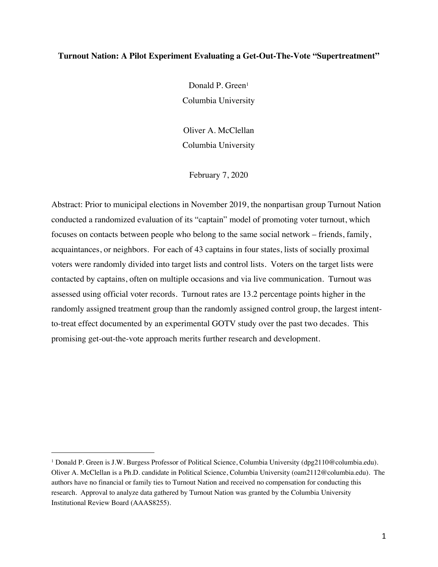# **Turnout Nation: A Pilot Experiment Evaluating a Get-Out-The-Vote "Supertreatment"**

Donald P. Green<sup>1</sup> Columbia University

Oliver A. McClellan Columbia University

February 7, 2020

Abstract: Prior to municipal elections in November 2019, the nonpartisan group Turnout Nation conducted a randomized evaluation of its "captain" model of promoting voter turnout, which focuses on contacts between people who belong to the same social network – friends, family, acquaintances, or neighbors. For each of 43 captains in four states, lists of socially proximal voters were randomly divided into target lists and control lists. Voters on the target lists were contacted by captains, often on multiple occasions and via live communication. Turnout was assessed using official voter records. Turnout rates are 13.2 percentage points higher in the randomly assigned treatment group than the randomly assigned control group, the largest intentto-treat effect documented by an experimental GOTV study over the past two decades. This promising get-out-the-vote approach merits further research and development.

<sup>1</sup> Donald P. Green is J.W. Burgess Professor of Political Science, Columbia University (dpg2110@columbia.edu). Oliver A. McClellan is a Ph.D. candidate in Political Science, Columbia University (oam2112@columbia.edu). The authors have no financial or family ties to Turnout Nation and received no compensation for conducting this research. Approval to analyze data gathered by Turnout Nation was granted by the Columbia University Institutional Review Board (AAAS8255).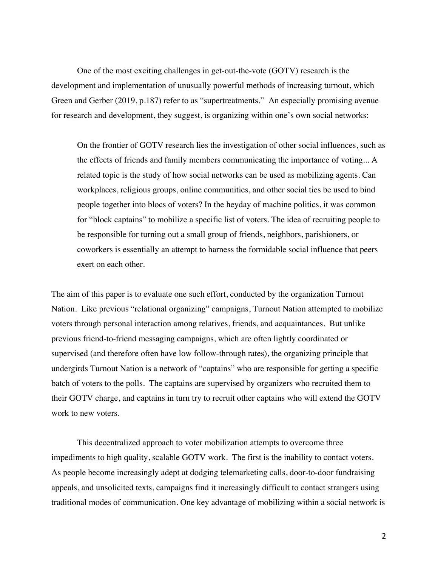One of the most exciting challenges in get-out-the-vote (GOTV) research is the development and implementation of unusually powerful methods of increasing turnout, which Green and Gerber (2019, p.187) refer to as "supertreatments." An especially promising avenue for research and development, they suggest, is organizing within one's own social networks:

On the frontier of GOTV research lies the investigation of other social influences, such as the effects of friends and family members communicating the importance of voting... A related topic is the study of how social networks can be used as mobilizing agents. Can workplaces, religious groups, online communities, and other social ties be used to bind people together into blocs of voters? In the heyday of machine politics, it was common for "block captains" to mobilize a specific list of voters. The idea of recruiting people to be responsible for turning out a small group of friends, neighbors, parishioners, or coworkers is essentially an attempt to harness the formidable social influence that peers exert on each other.

The aim of this paper is to evaluate one such effort, conducted by the organization Turnout Nation. Like previous "relational organizing" campaigns, Turnout Nation attempted to mobilize voters through personal interaction among relatives, friends, and acquaintances. But unlike previous friend-to-friend messaging campaigns, which are often lightly coordinated or supervised (and therefore often have low follow-through rates), the organizing principle that undergirds Turnout Nation is a network of "captains" who are responsible for getting a specific batch of voters to the polls. The captains are supervised by organizers who recruited them to their GOTV charge, and captains in turn try to recruit other captains who will extend the GOTV work to new voters.

This decentralized approach to voter mobilization attempts to overcome three impediments to high quality, scalable GOTV work. The first is the inability to contact voters. As people become increasingly adept at dodging telemarketing calls, door-to-door fundraising appeals, and unsolicited texts, campaigns find it increasingly difficult to contact strangers using traditional modes of communication. One key advantage of mobilizing within a social network is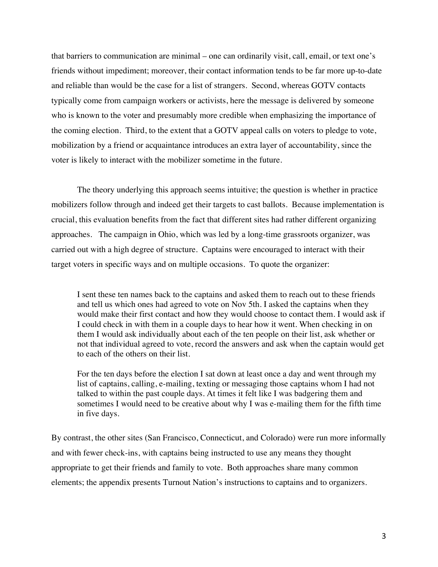that barriers to communication are minimal – one can ordinarily visit, call, email, or text one's friends without impediment; moreover, their contact information tends to be far more up-to-date and reliable than would be the case for a list of strangers. Second, whereas GOTV contacts typically come from campaign workers or activists, here the message is delivered by someone who is known to the voter and presumably more credible when emphasizing the importance of the coming election. Third, to the extent that a GOTV appeal calls on voters to pledge to vote, mobilization by a friend or acquaintance introduces an extra layer of accountability, since the voter is likely to interact with the mobilizer sometime in the future.

The theory underlying this approach seems intuitive; the question is whether in practice mobilizers follow through and indeed get their targets to cast ballots. Because implementation is crucial, this evaluation benefits from the fact that different sites had rather different organizing approaches. The campaign in Ohio, which was led by a long-time grassroots organizer, was carried out with a high degree of structure. Captains were encouraged to interact with their target voters in specific ways and on multiple occasions. To quote the organizer:

I sent these ten names back to the captains and asked them to reach out to these friends and tell us which ones had agreed to vote on Nov 5th. I asked the captains when they would make their first contact and how they would choose to contact them. I would ask if I could check in with them in a couple days to hear how it went. When checking in on them I would ask individually about each of the ten people on their list, ask whether or not that individual agreed to vote, record the answers and ask when the captain would get to each of the others on their list.

For the ten days before the election I sat down at least once a day and went through my list of captains, calling, e-mailing, texting or messaging those captains whom I had not talked to within the past couple days. At times it felt like I was badgering them and sometimes I would need to be creative about why I was e-mailing them for the fifth time in five days.

By contrast, the other sites (San Francisco, Connecticut, and Colorado) were run more informally and with fewer check-ins, with captains being instructed to use any means they thought appropriate to get their friends and family to vote. Both approaches share many common elements; the appendix presents Turnout Nation's instructions to captains and to organizers.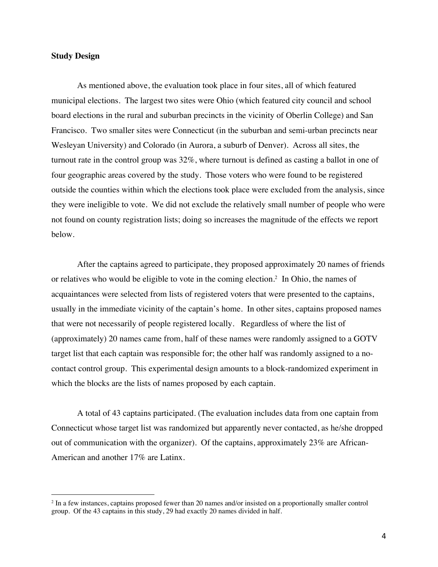# **Study Design**

As mentioned above, the evaluation took place in four sites, all of which featured municipal elections. The largest two sites were Ohio (which featured city council and school board elections in the rural and suburban precincts in the vicinity of Oberlin College) and San Francisco. Two smaller sites were Connecticut (in the suburban and semi-urban precincts near Wesleyan University) and Colorado (in Aurora, a suburb of Denver). Across all sites, the turnout rate in the control group was 32%, where turnout is defined as casting a ballot in one of four geographic areas covered by the study. Those voters who were found to be registered outside the counties within which the elections took place were excluded from the analysis, since they were ineligible to vote. We did not exclude the relatively small number of people who were not found on county registration lists; doing so increases the magnitude of the effects we report below.

After the captains agreed to participate, they proposed approximately 20 names of friends or relatives who would be eligible to vote in the coming election.2 In Ohio, the names of acquaintances were selected from lists of registered voters that were presented to the captains, usually in the immediate vicinity of the captain's home. In other sites, captains proposed names that were not necessarily of people registered locally. Regardless of where the list of (approximately) 20 names came from, half of these names were randomly assigned to a GOTV target list that each captain was responsible for; the other half was randomly assigned to a nocontact control group. This experimental design amounts to a block-randomized experiment in which the blocks are the lists of names proposed by each captain.

A total of 43 captains participated. (The evaluation includes data from one captain from Connecticut whose target list was randomized but apparently never contacted, as he/she dropped out of communication with the organizer). Of the captains, approximately 23% are African-American and another 17% are Latinx.

<sup>2</sup> In a few instances, captains proposed fewer than 20 names and/or insisted on a proportionally smaller control group. Of the 43 captains in this study, 29 had exactly 20 names divided in half.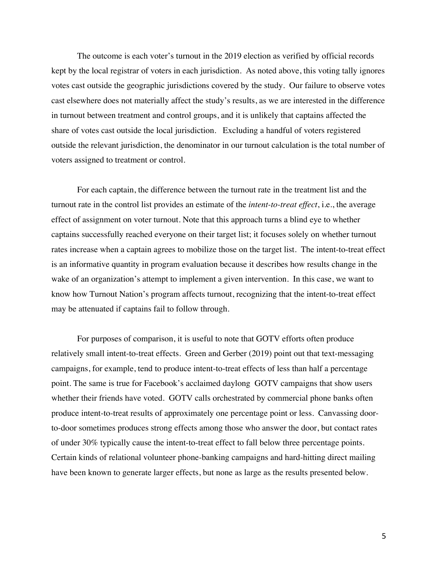The outcome is each voter's turnout in the 2019 election as verified by official records kept by the local registrar of voters in each jurisdiction. As noted above, this voting tally ignores votes cast outside the geographic jurisdictions covered by the study. Our failure to observe votes cast elsewhere does not materially affect the study's results, as we are interested in the difference in turnout between treatment and control groups, and it is unlikely that captains affected the share of votes cast outside the local jurisdiction. Excluding a handful of voters registered outside the relevant jurisdiction, the denominator in our turnout calculation is the total number of voters assigned to treatment or control.

For each captain, the difference between the turnout rate in the treatment list and the turnout rate in the control list provides an estimate of the *intent-to-treat effect*, i.e., the average effect of assignment on voter turnout. Note that this approach turns a blind eye to whether captains successfully reached everyone on their target list; it focuses solely on whether turnout rates increase when a captain agrees to mobilize those on the target list. The intent-to-treat effect is an informative quantity in program evaluation because it describes how results change in the wake of an organization's attempt to implement a given intervention. In this case, we want to know how Turnout Nation's program affects turnout, recognizing that the intent-to-treat effect may be attenuated if captains fail to follow through.

For purposes of comparison, it is useful to note that GOTV efforts often produce relatively small intent-to-treat effects. Green and Gerber (2019) point out that text-messaging campaigns, for example, tend to produce intent-to-treat effects of less than half a percentage point. The same is true for Facebook's acclaimed daylong GOTV campaigns that show users whether their friends have voted. GOTV calls orchestrated by commercial phone banks often produce intent-to-treat results of approximately one percentage point or less. Canvassing doorto-door sometimes produces strong effects among those who answer the door, but contact rates of under 30% typically cause the intent-to-treat effect to fall below three percentage points. Certain kinds of relational volunteer phone-banking campaigns and hard-hitting direct mailing have been known to generate larger effects, but none as large as the results presented below.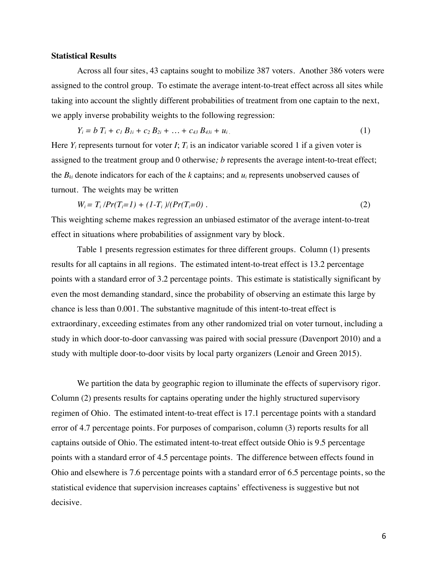### **Statistical Results**

Across all four sites, 43 captains sought to mobilize 387 voters. Another 386 voters were assigned to the control group. To estimate the average intent-to-treat effect across all sites while taking into account the slightly different probabilities of treatment from one captain to the next, we apply inverse probability weights to the following regression:

$$
Y_i = b T_i + c_1 B_{1i} + c_2 B_{2i} + \ldots + c_{43} B_{43i} + u_i. \tag{1}
$$

Here  $Y_i$  represents turnout for voter  $I$ ;  $T_i$  is an indicator variable scored 1 if a given voter is assigned to the treatment group and 0 otherwise*; b* represents the average intent-to-treat effect; the  $B_{ki}$  denote indicators for each of the  $k$  captains; and  $u_i$  represents unobserved causes of turnout. The weights may be written

$$
W_i = T_i \cdot \Pr(T_i = 1) + (1 - T_i) \cdot \Pr(T_i = 0) \tag{2}
$$

This weighting scheme makes regression an unbiased estimator of the average intent-to-treat effect in situations where probabilities of assignment vary by block.

Table 1 presents regression estimates for three different groups. Column (1) presents results for all captains in all regions. The estimated intent-to-treat effect is 13.2 percentage points with a standard error of 3.2 percentage points. This estimate is statistically significant by even the most demanding standard, since the probability of observing an estimate this large by chance is less than 0.001. The substantive magnitude of this intent-to-treat effect is extraordinary, exceeding estimates from any other randomized trial on voter turnout, including a study in which door-to-door canvassing was paired with social pressure (Davenport 2010) and a study with multiple door-to-door visits by local party organizers (Lenoir and Green 2015).

We partition the data by geographic region to illuminate the effects of supervisory rigor. Column (2) presents results for captains operating under the highly structured supervisory regimen of Ohio. The estimated intent-to-treat effect is 17.1 percentage points with a standard error of 4.7 percentage points. For purposes of comparison, column (3) reports results for all captains outside of Ohio. The estimated intent-to-treat effect outside Ohio is 9.5 percentage points with a standard error of 4.5 percentage points. The difference between effects found in Ohio and elsewhere is 7.6 percentage points with a standard error of 6.5 percentage points, so the statistical evidence that supervision increases captains' effectiveness is suggestive but not decisive.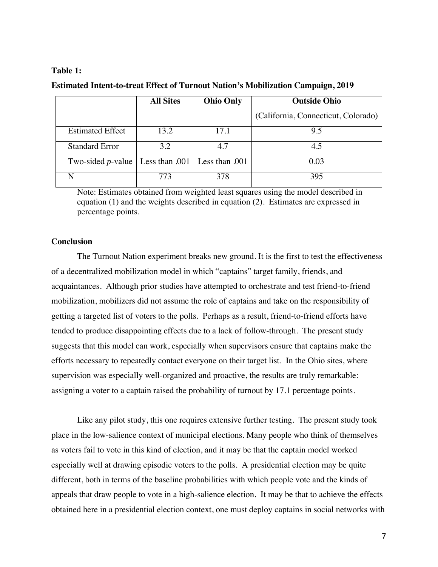# **Table 1:**

|                                                             | <b>All Sites</b> | <b>Ohio Only</b> | <b>Outside Ohio</b>                 |
|-------------------------------------------------------------|------------------|------------------|-------------------------------------|
|                                                             |                  |                  | (California, Connecticut, Colorado) |
| <b>Estimated Effect</b>                                     | 13.2             | 17.1             | 9.5                                 |
| <b>Standard Error</b>                                       | 3.2              | 4.7              | 4.5                                 |
| Two-sided <i>p</i> -value   Less than .001   Less than .001 |                  |                  | 0.03                                |
|                                                             | 773              | 378              | 395                                 |

#### **Estimated Intent-to-treat Effect of Turnout Nation's Mobilization Campaign, 2019**

Note: Estimates obtained from weighted least squares using the model described in equation (1) and the weights described in equation (2). Estimates are expressed in percentage points.

## **Conclusion**

The Turnout Nation experiment breaks new ground. It is the first to test the effectiveness of a decentralized mobilization model in which "captains" target family, friends, and acquaintances. Although prior studies have attempted to orchestrate and test friend-to-friend mobilization, mobilizers did not assume the role of captains and take on the responsibility of getting a targeted list of voters to the polls. Perhaps as a result, friend-to-friend efforts have tended to produce disappointing effects due to a lack of follow-through. The present study suggests that this model can work, especially when supervisors ensure that captains make the efforts necessary to repeatedly contact everyone on their target list. In the Ohio sites, where supervision was especially well-organized and proactive, the results are truly remarkable: assigning a voter to a captain raised the probability of turnout by 17.1 percentage points.

Like any pilot study, this one requires extensive further testing. The present study took place in the low-salience context of municipal elections. Many people who think of themselves as voters fail to vote in this kind of election, and it may be that the captain model worked especially well at drawing episodic voters to the polls. A presidential election may be quite different, both in terms of the baseline probabilities with which people vote and the kinds of appeals that draw people to vote in a high-salience election. It may be that to achieve the effects obtained here in a presidential election context, one must deploy captains in social networks with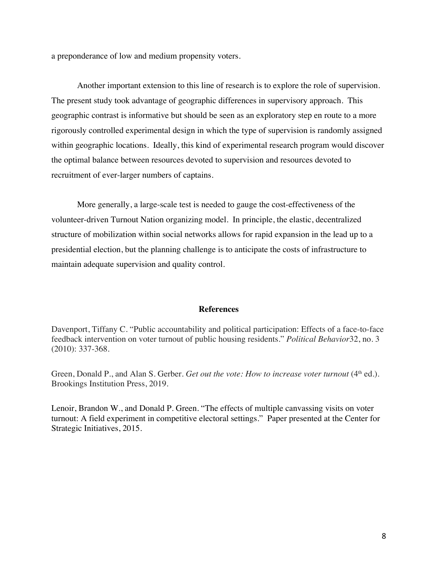a preponderance of low and medium propensity voters.

Another important extension to this line of research is to explore the role of supervision. The present study took advantage of geographic differences in supervisory approach. This geographic contrast is informative but should be seen as an exploratory step en route to a more rigorously controlled experimental design in which the type of supervision is randomly assigned within geographic locations. Ideally, this kind of experimental research program would discover the optimal balance between resources devoted to supervision and resources devoted to recruitment of ever-larger numbers of captains.

More generally, a large-scale test is needed to gauge the cost-effectiveness of the volunteer-driven Turnout Nation organizing model. In principle, the elastic, decentralized structure of mobilization within social networks allows for rapid expansion in the lead up to a presidential election, but the planning challenge is to anticipate the costs of infrastructure to maintain adequate supervision and quality control.

# **References**

Davenport, Tiffany C. "Public accountability and political participation: Effects of a face-to-face feedback intervention on voter turnout of public housing residents." *Political Behavior*32, no. 3 (2010): 337-368.

Green, Donald P., and Alan S. Gerber. *Get out the vote: How to increase voter turnout* (4<sup>th</sup> ed.). Brookings Institution Press, 2019.

Lenoir, Brandon W., and Donald P. Green. "The effects of multiple canvassing visits on voter turnout: A field experiment in competitive electoral settings." Paper presented at the Center for Strategic Initiatives, 2015.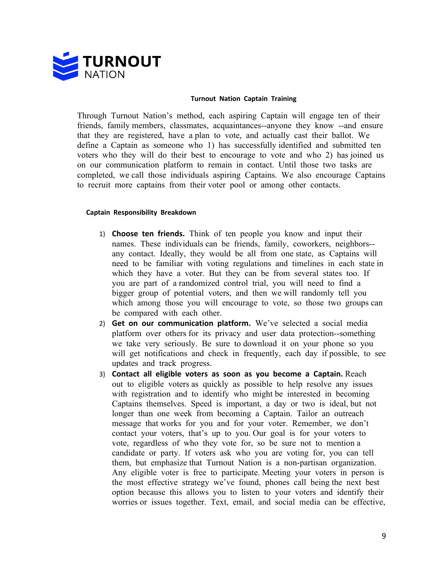

#### **Turnout Nation Captain Training**

Through Turnout Nation's method, each aspiring Captain will engage ten of their friends, family members, classmates, acquaintances--anyone they know --and ensure that they are registered, have a plan to vote, and actually cast their ballot. We define a Captain as someone who 1) has successfully identified and submitted ten voters who they will do their best to encourage to vote and who 2) has joined us on our communication platform to remain in contact. Until those two tasks are completed, we call those individuals aspiring Captains. We also encourage Captains to recruit more captains from their voter pool or among other contacts.

### **Captain Responsibility Breakdown**

- 1) **Choose ten friends.** Think of ten people you know and input their names. These individuals can be friends, family, coworkers, neighbors- any contact. Ideally, they would be all from one state, as Captains will need to be familiar with voting regulations and timelines in each state in which they have a voter. But they can be from several states too. If you are part of a randomized control trial, you will need to find a bigger group of potential voters, and then we will randomly tell you which among those you will encourage to vote, so those two groups can be compared with each other.
- 2) **Get on our communication platform.** We've selected a social media platform over others for its privacy and user data protection--something we take very seriously. Be sure to download it on your phone so you will get notifications and check in frequently, each day if possible, to see updates and track progress.
- 3) **Contact all eligible voters as soon as you become a Captain.** Reach out to eligible voters as quickly as possible to help resolve any issues with registration and to identify who might be interested in becoming Captains themselves. Speed is important, a day or two is ideal, but not longer than one week from becoming a Captain. Tailor an outreach message that works for you and for your voter. Remember, we don't contact your voters, that's up to you. Our goal is for your voters to vote, regardless of who they vote for, so be sure not to mention a candidate or party. If voters ask who you are voting for, you can tell them, but emphasize that Turnout Nation is a non-partisan organization. Any eligible voter is free to participate. Meeting your voters in person is the most effective strategy we've found, phones call being the next best option because this allows you to listen to your voters and identify their worries or issues together. Text, email, and social media can be effective,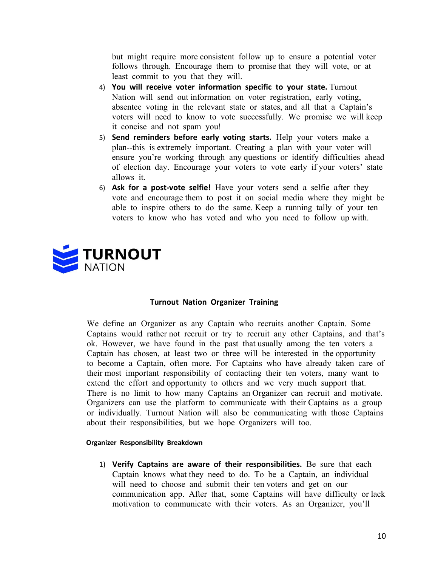but might require more consistent follow up to ensure a potential voter follows through. Encourage them to promise that they will vote, or at least commit to you that they will.

- 4) **You will receive voter information specific to your state.** Turnout Nation will send out information on voter registration, early voting, absentee voting in the relevant state or states, and all that a Captain's voters will need to know to vote successfully. We promise we will keep it concise and not spam you!
- 5) **Send reminders before early voting starts.** Help your voters make a plan--this is extremely important. Creating a plan with your voter will ensure you're working through any questions or identify difficulties ahead of election day. Encourage your voters to vote early if your voters' state allows it.
- 6) **Ask for a post-vote selfie!** Have your voters send a selfie after they vote and encourage them to post it on social media where they might be able to inspire others to do the same. Keep a running tally of your ten voters to know who has voted and who you need to follow up with.



# **Turnout Nation Organizer Training**

We define an Organizer as any Captain who recruits another Captain. Some Captains would rather not recruit or try to recruit any other Captains, and that's ok. However, we have found in the past that usually among the ten voters a Captain has chosen, at least two or three will be interested in the opportunity to become a Captain, often more. For Captains who have already taken care of their most important responsibility of contacting their ten voters, many want to extend the effort and opportunity to others and we very much support that. There is no limit to how many Captains an Organizer can recruit and motivate. Organizers can use the platform to communicate with their Captains as a group or individually. Turnout Nation will also be communicating with those Captains about their responsibilities, but we hope Organizers will too.

#### **Organizer Responsibility Breakdown**

1) **Verify Captains are aware of their responsibilities.** Be sure that each Captain knows what they need to do. To be a Captain, an individual will need to choose and submit their ten voters and get on our communication app. After that, some Captains will have difficulty or lack motivation to communicate with their voters. As an Organizer, you'll